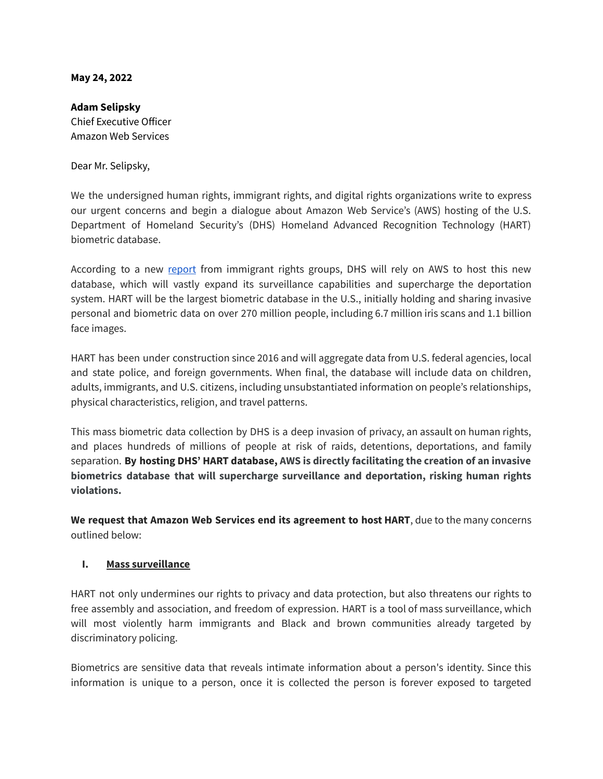#### **May 24, 2022**

### **Adam Selipsky**

Chief Executive Officer Amazon Web Services

Dear Mr. Selipsky,

We the undersigned human rights, immigrant rights, and digital rights organizations write to express our urgent concerns and begin a dialogue about Amazon Web Service's (AWS) hosting of the U.S. Department of Homeland Security's (DHS) Homeland Advanced Recognition Technology (HART) biometric database.

According to a new [report](https://justfutureslaw.org/wp-content/uploads/2022/05/HART-Attack.pdf) from immigrant rights groups, DHS will rely on AWS to host this new database, which will vastly expand its surveillance capabilities and supercharge the deportation system. HART will be the largest biometric database in the U.S., initially holding and sharing invasive personal and biometric data on over 270 million people, including 6.7 million iris scans and 1.1 billion face images.

HART has been under construction since 2016 and will aggregate data from U.S. federal agencies, local and state police, and foreign governments. When final, the database will include data on children, adults, immigrants, and U.S. citizens, including unsubstantiated information on people's relationships, physical characteristics, religion, and travel patterns.

This mass biometric data collection by DHS is a deep invasion of privacy, an assault on human rights, and places hundreds of millions of people at risk of raids, detentions, deportations, and family separation. **By hosting DHS' HART database, AWS is directly facilitating the creation of an invasive biometrics database that will supercharge surveillance and deportation, risking human rights violations.**

**We request that Amazon Web Services end its agreement to host HART**, due to the many concerns outlined below:

## **I. Mass surveillance**

HART not only undermines our rights to privacy and data protection, but also threatens our rights to free assembly and association, and freedom of expression. HART is a tool of mass surveillance, which will most violently harm immigrants and Black and brown communities already targeted by discriminatory policing.

Biometrics are sensitive data that reveals intimate information about a person's identity. Since this information is unique to a person, once it is collected the person is forever exposed to targeted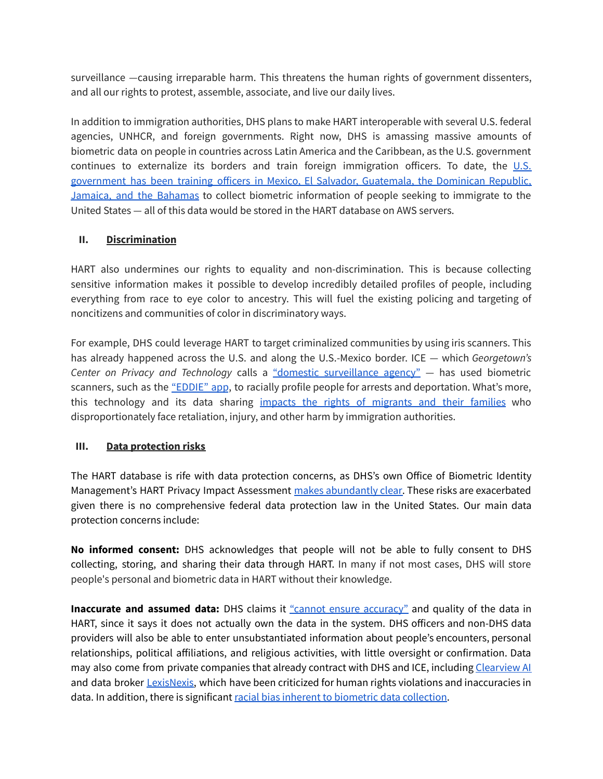surveillance —causing irreparable harm. This threatens the human rights of government dissenters, and all our rights to protest, assemble, associate, and live our daily lives.

In addition to immigration authorities, DHS plans to make HART interoperable with several U.S. federal agencies, UNHCR, and foreign governments. Right now, DHS is amassing massive amounts of biometric data on people in countries across Latin America and the Caribbean, as the U.S. government continues to externalize its borders and train foreign immigration officers. To date, the  $\underline{\mathsf{U.S.}}$  $\underline{\mathsf{U.S.}}$  $\underline{\mathsf{U.S.}}$ [government](https://justfutureslaw.org/wp-content/uploads/2021/04/HART-Appropriations-2022.pdf) has been training officers in Mexico, El Salvador, Guatemala, the Dominican Republic, Jamaica, and the [Bahamas](https://justfutureslaw.org/wp-content/uploads/2021/04/HART-Appropriations-2022.pdf) to collect biometric information of people seeking to immigrate to the United States — all of this data would be stored in the HART database on AWS servers.

## **II. Discrimination**

HART also undermines our rights to equality and non-discrimination. This is because collecting sensitive information makes it possible to develop incredibly detailed profiles of people, including everything from race to eye color to ancestry. This will fuel the existing policing and targeting of noncitizens and communities of color in discriminatory ways.

For example, DHS could leverage HART to target criminalized communities by using iris scanners. This has already happened across the U.S. and along the U.S.-Mexico border. ICE — which *Georgetown's Center on Privacy and Technology* calls a "domestic [surveillance](https://americandragnet.org/) agency" — has used biometric scanners, such as the ["EDDIE"](https://justfutureslaw.org/wp-content/uploads/2020/11/EDDIE-report-PDF-revised-final.pdf) app, to racially profile people for arrests and deportation. What's more, this technology and its data sharing impacts the rights of [migrants](https://www.flipsnack.com/justfutures/targeted-but-not-silenced/full-view.html) and their families who disproportionately face retaliation, injury, and other harm by immigration authorities.

# **III. Data protection risks**

The HART database is rife with data protection concerns, as DHS's own Office of Biometric Identity Management's HART Privacy Impact Assessment makes [abundantly](https://www.dhs.gov/sites/default/files/publications/privacy-pia-obim004-hartincrement1-february2020_0.pdf) clear. These risks are exacerbated given there is no comprehensive federal data protection law in the United States. Our main data protection concerns include:

**No informed consent:** DHS acknowledges that people will not be able to fully consent to DHS collecting, storing, and sharing their data through HART. In many if not most cases, DHS will store people's personal and biometric data in HART without their knowledge.

**Inaccurate and assumed data:** DHS claims it "cannot ensure [accuracy"](https://www.dhs.gov/sites/default/files/publications/privacy-pia-obim004-hartincrement1-february2020_0.pdf) and quality of the data in HART, since it says it does not actually own the data in the system. DHS officers and non-DHS data providers will also be able to enter unsubstantiated information about people's encounters, personal relationships, political affiliations, and religious activities, with little oversight or confirmation. Data may also come from private companies that already contract with DHS and ICE, including [Clearview](https://www.theverge.com/2022/2/9/22925094/clearview-facial-recognition-dhs-doj-justice-interior-pentagon) AI and data broker [LexisNexis,](https://theintercept.com/2021/04/02/ice-database-surveillance-lexisnexis/) which have been criticized for human rights violations and inaccuracies in data. In addition, there is significant racial bias inherent to biometric data [collection](https://www.washingtonpost.com/technology/2019/12/19/federal-study-confirms-racial-bias-many-facial-recognition-systems-casts-doubt-their-expanding-use/).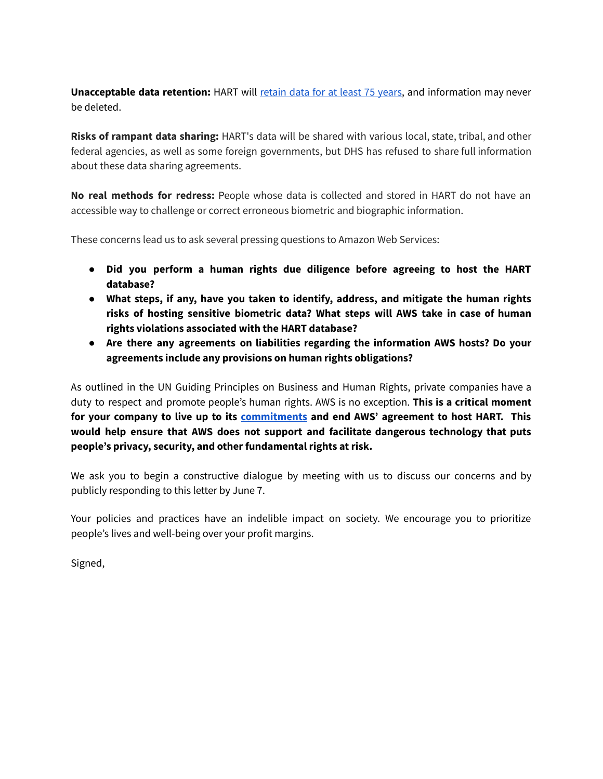**Unacceptable data retention:** HART will [retain](https://www.dhs.gov/sites/default/files/publications/privacy-pia-obim004-hartincrement1-february2020_0.pdf) data for at least 75 years, and information may never be deleted.

**Risks of rampant data sharing:** HART's data will be shared with various local, state, tribal, and other federal agencies, as well as some foreign governments, but DHS has refused to share full information about these data sharing agreements.

**No real methods for redress:** People whose data is collected and stored in HART do not have an accessible way to challenge or correct erroneous biometric and biographic information.

These concerns lead us to ask several pressing questions to Amazon Web Services:

- **● Did you perform a human rights due diligence before agreeing to host the HART database?**
- **● What steps, if any, have you taken to identify, address, and mitigate the human rights risks of hosting sensitive biometric data? What steps will AWS take in case of human rights violations associated with the HART database?**
- **● Are there any agreements on liabilities regarding the information AWS hosts? Do your agreements include any provisions on human rights obligations?**

As outlined in the UN Guiding Principles on Business and Human Rights, private companies have a duty to respect and promote people's human rights. AWS is no exception. **This is a critical moment for your company to live up to its [commitments](https://sustainability.aboutamazon.com/people/human-rights/principles) and end AWS' agreement to host HART. This would help ensure that AWS does not support and facilitate dangerous technology that puts people's privacy, security, and other fundamental rights at risk.**

We ask you to begin a constructive dialogue by meeting with us to discuss our concerns and by publicly responding to this letter by June 7.

Your policies and practices have an indelible impact on society. We encourage you to prioritize people's lives and well-being over your profit margins.

Signed,